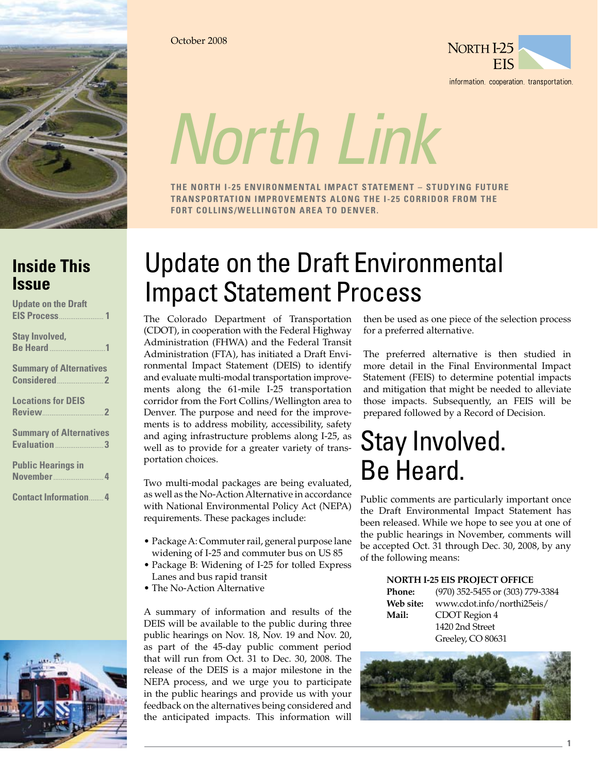

October 2008



information cooperation transportation

# *North Link*

**The North I-25 Environmental Impact Statement – Studying future transportation improvements along the I-25 corridor from the Fort Collins/Wellington area to Denver.**

### **Inside This Issue**

| <b>Update on the Draft</b> |  |
|----------------------------|--|
|                            |  |

|  | <b>Stay Involved,</b> |  |  |  |  |  |  |  |  |
|--|-----------------------|--|--|--|--|--|--|--|--|
|  |                       |  |  |  |  |  |  |  |  |

**Summary of Alternatives Considered**.........................**2**

**Locations for DEIS Review**.................................**2**

| <b>Summary of Alternatives</b> |
|--------------------------------|
| <b>Evaluation</b> 3            |

**Public Hearings in November**...

**Contact Information**........**4**



# Update on the Draft Environmental Impact Statement Process

The Colorado Department of Transportation (CDOT), in cooperation with the Federal Highway Administration (FHWA) and the Federal Transit Administration (FTA), has initiated a Draft Environmental Impact Statement (DEIS) to identify and evaluate multi-modal transportation improvements along the 61-mile I-25 transportation corridor from the Fort Collins/Wellington area to Denver. The purpose and need for the improvements is to address mobility, accessibility, safety and aging infrastructure problems along I-25, as well as to provide for a greater variety of transportation choices.

Two multi-modal packages are being evaluated, as well as the No-Action Alternative in accordance with National Environmental Policy Act (NEPA) requirements. These packages include:

- Package A: Commuter rail, general purpose lane widening of I-25 and commuter bus on US 85
- Package B: Widening of I-25 for tolled Express Lanes and bus rapid transit
- The No-Action Alternative

A summary of information and results of the DEIS will be available to the public during three public hearings on Nov. 18, Nov. 19 and Nov. 20, as part of the 45-day public comment period that will run from Oct. 31 to Dec. 30, 2008. The release of the DEIS is a major milestone in the NEPA process, and we urge you to participate in the public hearings and provide us with your feedback on the alternatives being considered and the anticipated impacts. This information will

then be used as one piece of the selection process for a preferred alternative.

The preferred alternative is then studied in more detail in the Final Environmental Impact Statement (FEIS) to determine potential impacts and mitigation that might be needed to alleviate those impacts. Subsequently, an FEIS will be prepared followed by a Record of Decision.

## Stay Involved. Be Heard.

Public comments are particularly important once the Draft Environmental Impact Statement has been released. While we hope to see you at one of the public hearings in November, comments will be accepted Oct. 31 through Dec. 30, 2008, by any of the following means:

#### **North I-25 EIS Project Office**

| <b>Phone:</b> | (970) 352-5455 or (303) 779-3384 |
|---------------|----------------------------------|
| Web site:     | www.cdot.info/northi25eis/       |
| Mail:         | CDOT Region 4                    |
|               | 1420 2nd Street                  |
|               | Greeley, CO 80631                |



**1**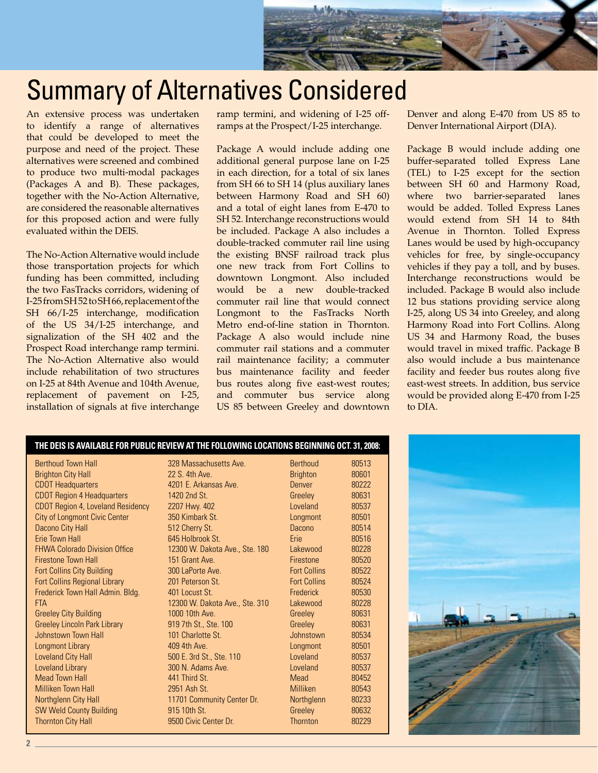

## Summary of Alternatives Considered

An extensive process was undertaken to identify a range of alternatives that could be developed to meet the purpose and need of the project. These alternatives were screened and combined to produce two multi-modal packages (Packages A and B). These packages, together with the No-Action Alternative, are considered the reasonable alternatives for this proposed action and were fully evaluated within the DEIS.

The No-Action Alternative would include those transportation projects for which funding has been committed, including the two FasTracks corridors, widening of I-25 from SH 52 to SH 66, replacement of the SH 66/I-25 interchange, modification of the US 34/I-25 interchange, and signalization of the SH 402 and the Prospect Road interchange ramp termini. The No-Action Alternative also would include rehabilitation of two structures on I-25 at 84th Avenue and 104th Avenue, replacement of pavement on I-25, installation of signals at five interchange

ramp termini, and widening of I-25 offramps at the Prospect/I-25 interchange.

Package A would include adding one additional general purpose lane on I-25 in each direction, for a total of six lanes from SH 66 to SH 14 (plus auxiliary lanes between Harmony Road and SH 60) and a total of eight lanes from E-470 to SH 52. Interchange reconstructions would be included. Package A also includes a double-tracked commuter rail line using the existing BNSF railroad track plus one new track from Fort Collins to downtown Longmont. Also included would be a new double-tracked commuter rail line that would connect Longmont to the FasTracks North Metro end-of-line station in Thornton. Package A also would include nine commuter rail stations and a commuter rail maintenance facility; a commuter bus maintenance facility and feeder bus routes along five east-west routes; and commuter bus service along US 85 between Greeley and downtown Denver and along E-470 from US 85 to Denver International Airport (DIA).

Package B would include adding one buffer-separated tolled Express Lane (TEL) to I-25 except for the section between SH 60 and Harmony Road, where two barrier-separated lanes would be added. Tolled Express Lanes would extend from SH 14 to 84th Avenue in Thornton. Tolled Express Lanes would be used by high-occupancy vehicles for free, by single-occupancy vehicles if they pay a toll, and by buses. Interchange reconstructions would be included. Package B would also include 12 bus stations providing service along I-25, along US 34 into Greeley, and along Harmony Road into Fort Collins. Along US 34 and Harmony Road, the buses would travel in mixed traffic. Package B also would include a bus maintenance facility and feeder bus routes along five east-west streets. In addition, bus service would be provided along E-470 from I-25 to DIA.

| <u>THE DEIG IS AVAILADEL FUN FUDEIG NEVIEW AT THE FULLOWING LOGATIONS DEGININING OGT. 31, 2000.</u> |                                |                     |       |
|-----------------------------------------------------------------------------------------------------|--------------------------------|---------------------|-------|
| <b>Berthoud Town Hall</b>                                                                           | 328 Massachusetts Ave.         | Berthoud            | 80513 |
| <b>Brighton City Hall</b>                                                                           | 22 S. 4th Ave.                 | <b>Brighton</b>     | 80601 |
| <b>CDOT Headquarters</b>                                                                            | 4201 E. Arkansas Ave.          | Denver              | 80222 |
| <b>CDOT Region 4 Headquarters</b>                                                                   | 1420 2nd St.                   | Greeley             | 80631 |
| <b>CDOT Region 4, Loveland Residency</b>                                                            | 2207 Hwy. 402                  | I oveland           | 80537 |
| <b>City of Longmont Civic Center</b>                                                                | 350 Kimbark St.                | Longmont            | 80501 |
| Dacono City Hall                                                                                    | 512 Cherry St.                 | Dacono              | 80514 |
| Frie Town Hall                                                                                      | 645 Holbrook St                | Erie                | 80516 |
| <b>FHWA Colorado Division Office</b>                                                                | 12300 W. Dakota Ave., Ste. 180 | Lakewood            | 80228 |
| <b>Firestone Town Hall</b>                                                                          | 151 Grant Ave.                 | Firestone           | 80520 |
| <b>Fort Collins City Building</b>                                                                   | 300 LaPorte Ave.               | <b>Fort Collins</b> | 80522 |
| <b>Fort Collins Regional Library</b>                                                                | 201 Peterson St.               | <b>Fort Collins</b> | 80524 |
| Frederick Town Hall Admin. Bldg.                                                                    | 401 Locust St.                 | Frederick           | 80530 |
| <b>FTA</b>                                                                                          | 12300 W. Dakota Ave., Ste. 310 | Lakewood            | 80228 |
| <b>Greeley City Building</b>                                                                        | 1000 10th Ave.                 | Greeley             | 80631 |
| <b>Greeley Lincoln Park Library</b>                                                                 | 919 7th St., Ste. 100          | Greeley             | 80631 |
| Johnstown Town Hall                                                                                 | 101 Charlotte St.              | Johnstown           | 80534 |
| <b>Longmont Library</b>                                                                             | 409 4th Ave.                   | Longmont            | 80501 |
| <b>Loveland City Hall</b>                                                                           | 500 E. 3rd St., Ste. 110       | Loveland            | 80537 |
| <b>Loveland Library</b>                                                                             | 300 N. Adams Ave.              | Loveland            | 80537 |
| <b>Mead Town Hall</b>                                                                               | 441 Third St.                  | Mead                | 80452 |
| Milliken Town Hall                                                                                  | 2951 Ash St.                   | <b>Milliken</b>     | 80543 |
| Northglenn City Hall                                                                                | 11701 Community Center Dr.     | Northglenn          | 80233 |
| <b>SW Weld County Building</b>                                                                      | 915 10th St.                   | Greeley             | 80632 |
| <b>Thornton City Hall</b>                                                                           | 9500 Civic Center Dr.          | <b>Thornton</b>     | 80229 |

**The DEIS is available for public review at the following locations beginning Oct. 31, 2008:**

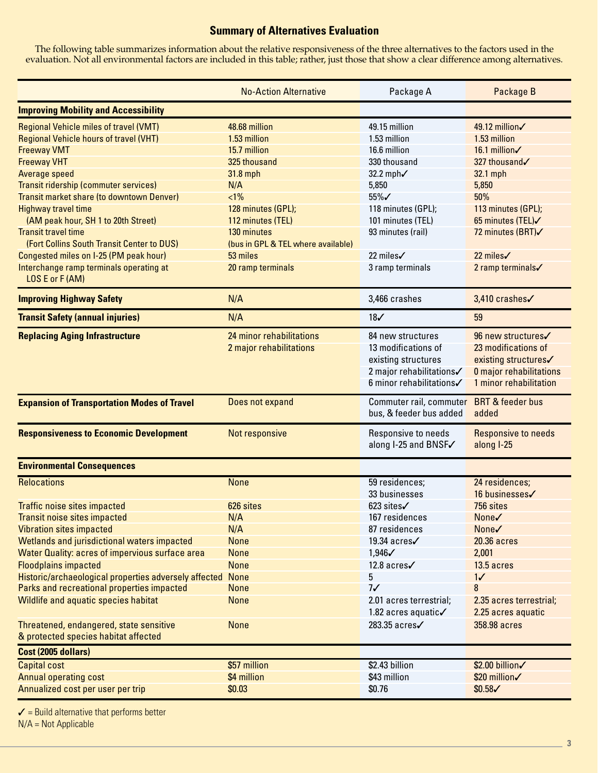#### **Summary of Alternatives Evaluation**

The following table summarizes information about the relative responsiveness of the three alternatives to the factors used in the evaluation. Not all environmental factors are included in this table; rather, just those that show a clear difference among alternatives.

|                                                                                                     | Package A                          | Package B                                                                               |                                      |  |  |
|-----------------------------------------------------------------------------------------------------|------------------------------------|-----------------------------------------------------------------------------------------|--------------------------------------|--|--|
| <b>Improving Mobility and Accessibility</b>                                                         |                                    |                                                                                         |                                      |  |  |
| <b>Regional Vehicle miles of travel (VMT)</b><br><b>Regional Vehicle hours of travel (VHT)</b>      | 48.68 million<br>1.53 million      | 49.15 million<br>1.53 million                                                           | 49.12 million√<br>1.53 million       |  |  |
| <b>Freeway VMT</b>                                                                                  | 15.7 million                       | 16.6 million                                                                            | 16.1 million√                        |  |  |
| <b>Freeway VHT</b>                                                                                  | 325 thousand                       | 330 thousand                                                                            | 327 thousand√                        |  |  |
| Average speed                                                                                       | 31.8 mph                           | 32.2 mph/                                                                               | 32.1 mph                             |  |  |
| Transit ridership (commuter services)                                                               | N/A                                | 5,850                                                                                   | 5,850                                |  |  |
| Transit market share (to downtown Denver)                                                           | $<1\%$                             | 55%√                                                                                    | 50%                                  |  |  |
| <b>Highway travel time</b>                                                                          | 128 minutes (GPL);                 | 118 minutes (GPL);                                                                      | 113 minutes (GPL);                   |  |  |
| (AM peak hour, SH 1 to 20th Street)                                                                 | 112 minutes (TEL)                  | 101 minutes (TEL)                                                                       | 65 minutes (TEL)√                    |  |  |
| <b>Transit travel time</b>                                                                          | 130 minutes                        | 93 minutes (rail)                                                                       | 72 minutes (BRT)                     |  |  |
| (Fort Collins South Transit Center to DUS)                                                          | (bus in GPL & TEL where available) |                                                                                         |                                      |  |  |
| Congested miles on I-25 (PM peak hour)                                                              | 53 miles                           | 22 miles√                                                                               | 22 miles√                            |  |  |
| Interchange ramp terminals operating at<br>LOS E or F (AM)                                          | 20 ramp terminals                  | 3 ramp terminals                                                                        | 2 ramp terminals                     |  |  |
| <b>Improving Highway Safety</b>                                                                     | N/A                                | 3,466 crashes                                                                           | 3,410 crashes√                       |  |  |
| <b>Transit Safety (annual injuries)</b>                                                             | N/A                                | 18 <sub>6</sub>                                                                         | 59                                   |  |  |
| <b>Replacing Aging Infrastructure</b>                                                               | 24 minor rehabilitations           | 84 new structures                                                                       | 96 new structures√                   |  |  |
|                                                                                                     | 2 major rehabilitations            | 13 modifications of                                                                     | 23 modifications of                  |  |  |
|                                                                                                     |                                    | existing structures                                                                     | existing structures√                 |  |  |
|                                                                                                     |                                    | 2 major rehabilitations√                                                                | <b>0 major rehabilitations</b>       |  |  |
|                                                                                                     |                                    | 6 minor rehabilitations                                                                 | 1 minor rehabilitation               |  |  |
| <b>Expansion of Transportation Modes of Travel</b>                                                  | Does not expand                    | Commuter rail, commuter<br>bus, & feeder bus added                                      | <b>BRT &amp; feeder bus</b><br>added |  |  |
| <b>Responsiveness to Economic Development</b>                                                       | Not responsive                     | Responsive to needs<br><b>Responsive to needs</b><br>along I-25 and BNSF√<br>along I-25 |                                      |  |  |
| <b>Environmental Consequences</b>                                                                   |                                    |                                                                                         |                                      |  |  |
| <b>Relocations</b>                                                                                  | <b>None</b>                        | 59 residences;                                                                          | 24 residences;                       |  |  |
|                                                                                                     |                                    | 33 businesses                                                                           | 16 businesses√                       |  |  |
| <b>Traffic noise sites impacted</b>                                                                 | 626 sites                          | 623 sites√                                                                              | 756 sites                            |  |  |
| <b>Transit noise sites impacted</b>                                                                 | N/A                                | 167 residences                                                                          | None√                                |  |  |
| <b>Vibration sites impacted</b>                                                                     | N/A                                | 87 residences                                                                           | None√                                |  |  |
| Wetlands and jurisdictional waters impacted                                                         | <b>None</b>                        | 19.34 acres√                                                                            | 20.36 acres                          |  |  |
| Water Quality: acres of impervious surface area                                                     | <b>None</b>                        | 1,946√                                                                                  | 2,001                                |  |  |
| <b>Floodplains impacted</b>                                                                         | <b>None</b>                        | 12.8 acres√                                                                             | 13.5 acres                           |  |  |
| Historic/archaeological properties adversely affected<br>Parks and recreational properties impacted | <b>None</b><br><b>None</b>         | 5<br>7 <sub>1</sub>                                                                     | 1/<br>8                              |  |  |
| Wildlife and aquatic species habitat                                                                | <b>None</b>                        | 2.01 acres terrestrial;                                                                 | 2.35 acres terrestrial;              |  |  |
|                                                                                                     |                                    | 1.82 acres aquatic√                                                                     | 2.25 acres aquatic                   |  |  |
| Threatened, endangered, state sensitive                                                             | <b>None</b>                        | 283.35 acres√                                                                           | 358.98 acres                         |  |  |
| & protected species habitat affected                                                                |                                    |                                                                                         |                                      |  |  |
| Cost (2005 dollars)                                                                                 |                                    |                                                                                         |                                      |  |  |
| Capital cost                                                                                        | \$57 million                       | \$2.43 billion                                                                          | \$2.00 billion/                      |  |  |
| <b>Annual operating cost</b>                                                                        | \$4 million                        | \$43 million                                                                            | \$20 million/                        |  |  |
| Annualized cost per user per trip                                                                   | \$0.03                             | \$0.76                                                                                  | $$0.58\checkmark$                    |  |  |
|                                                                                                     |                                    |                                                                                         |                                      |  |  |

 $\checkmark$  = Build alternative that performs better

N/A = Not Applicable